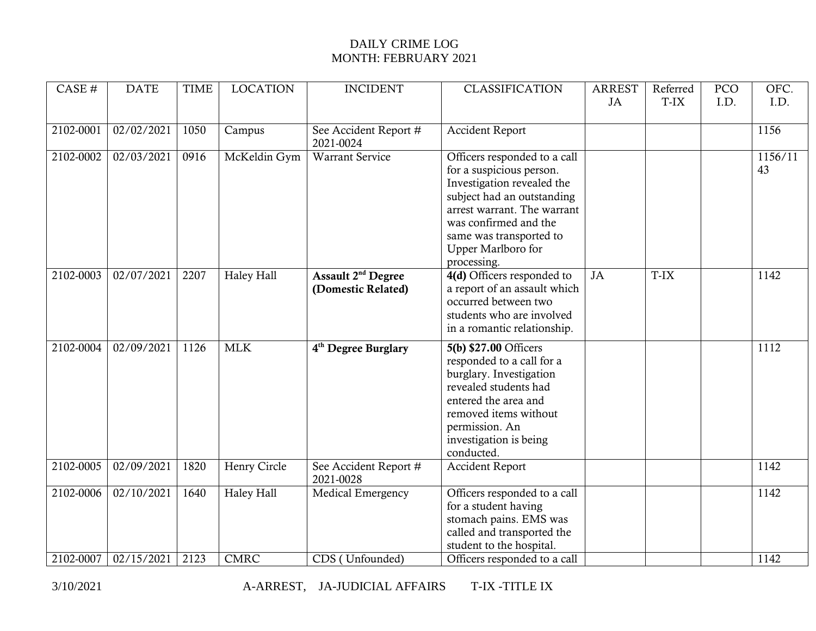## DAILY CRIME LOG MONTH: FEBRUARY 2021

| CASE #    | <b>DATE</b> | <b>TIME</b> | <b>LOCATION</b> | <b>INCIDENT</b>                                      | <b>CLASSIFICATION</b>                                                                                                                                                                                                                        | <b>ARREST</b><br>JA | Referred<br>T-IX | PCO<br>I.D. | OFC.<br>I.D.  |
|-----------|-------------|-------------|-----------------|------------------------------------------------------|----------------------------------------------------------------------------------------------------------------------------------------------------------------------------------------------------------------------------------------------|---------------------|------------------|-------------|---------------|
| 2102-0001 | 02/02/2021  | 1050        | Campus          | See Accident Report #<br>2021-0024                   | <b>Accident Report</b>                                                                                                                                                                                                                       |                     |                  |             | 1156          |
| 2102-0002 | 02/03/2021  | 0916        | McKeldin Gym    | <b>Warrant Service</b>                               | Officers responded to a call<br>for a suspicious person.<br>Investigation revealed the<br>subject had an outstanding<br>arrest warrant. The warrant<br>was confirmed and the<br>same was transported to<br>Upper Marlboro for<br>processing. |                     |                  |             | 1156/11<br>43 |
| 2102-0003 | 02/07/2021  | 2207        | Haley Hall      | Assault 2 <sup>nd</sup> Degree<br>(Domestic Related) | 4(d) Officers responded to<br>a report of an assault which<br>occurred between two<br>students who are involved<br>in a romantic relationship.                                                                                               | JA                  | T-IX             |             | 1142          |
| 2102-0004 | 02/09/2021  | 1126        | <b>MLK</b>      | 4 <sup>th</sup> Degree Burglary                      | 5(b) \$27.00 Officers<br>responded to a call for a<br>burglary. Investigation<br>revealed students had<br>entered the area and<br>removed items without<br>permission. An<br>investigation is being<br>conducted.                            |                     |                  |             | 1112          |
| 2102-0005 | 02/09/2021  | 1820        | Henry Circle    | See Accident Report #<br>2021-0028                   | <b>Accident Report</b>                                                                                                                                                                                                                       |                     |                  |             | 1142          |
| 2102-0006 | 02/10/2021  | 1640        | Haley Hall      | Medical Emergency                                    | Officers responded to a call<br>for a student having<br>stomach pains. EMS was<br>called and transported the<br>student to the hospital.                                                                                                     |                     |                  |             | 1142          |
| 2102-0007 | 02/15/2021  | 2123        | <b>CMRC</b>     | CDS (Unfounded)                                      | Officers responded to a call                                                                                                                                                                                                                 |                     |                  |             | 1142          |